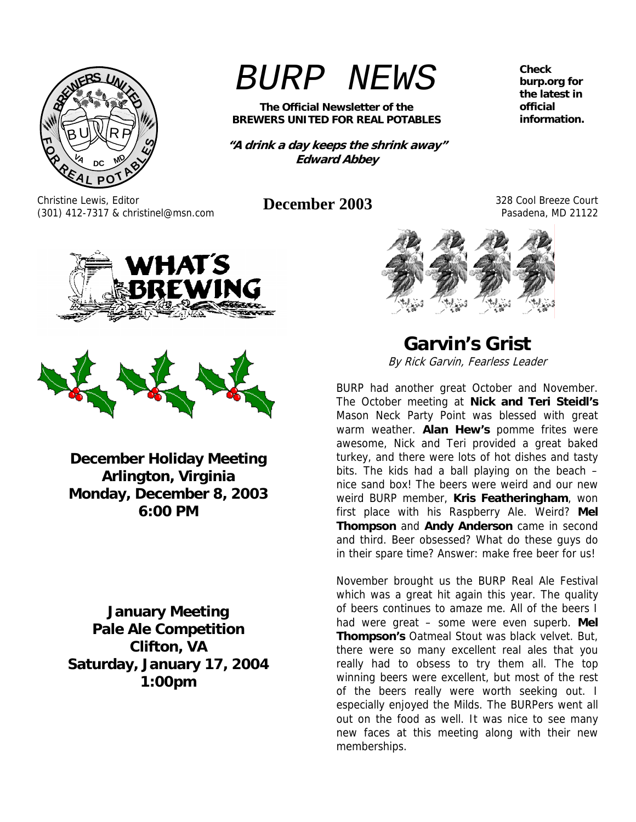

Christine Lewis, Editor

# *BURP NEWS*

**The Official Newsletter of the BREWERS UNITED FOR REAL POTABLES** 

**"A drink a day keeps the shrink away" Edward Abbey** 

(301) 412-7317 & christinel@msn.com **December 2003** 328 Cool Breeze Court

**Check burp.org for the latest in official information.** 

Pasadena, MD 21122





**December Holiday Meeting Arlington, Virginia Monday, December 8, 2003 6:00 PM**

**January Meeting Pale Ale Competition Clifton, VA Saturday, January 17, 2004 1:00pm**

**Garvin's Grist**  By Rick Garvin, Fearless Leader

BURP had another great October and November. The October meeting at **Nick and Teri Steidl's** Mason Neck Party Point was blessed with great warm weather. **Alan Hew's** pomme frites were awesome, Nick and Teri provided a great baked turkey, and there were lots of hot dishes and tasty bits. The kids had a ball playing on the beach – nice sand box! The beers were weird and our new weird BURP member, **Kris Featheringham**, won first place with his Raspberry Ale. Weird? **Mel Thompson** and **Andy Anderson** came in second and third. Beer obsessed? What do these guys do in their spare time? Answer: make free beer for us!

November brought us the BURP Real Ale Festival which was a great hit again this year. The quality of beers continues to amaze me. All of the beers I had were great – some were even superb. **Mel Thompson's** Oatmeal Stout was black velvet. But, there were so many excellent real ales that you really had to obsess to try them all. The top winning beers were excellent, but most of the rest of the beers really were worth seeking out. I especially enjoyed the Milds. The BURPers went all out on the food as well. It was nice to see many new faces at this meeting along with their new memberships.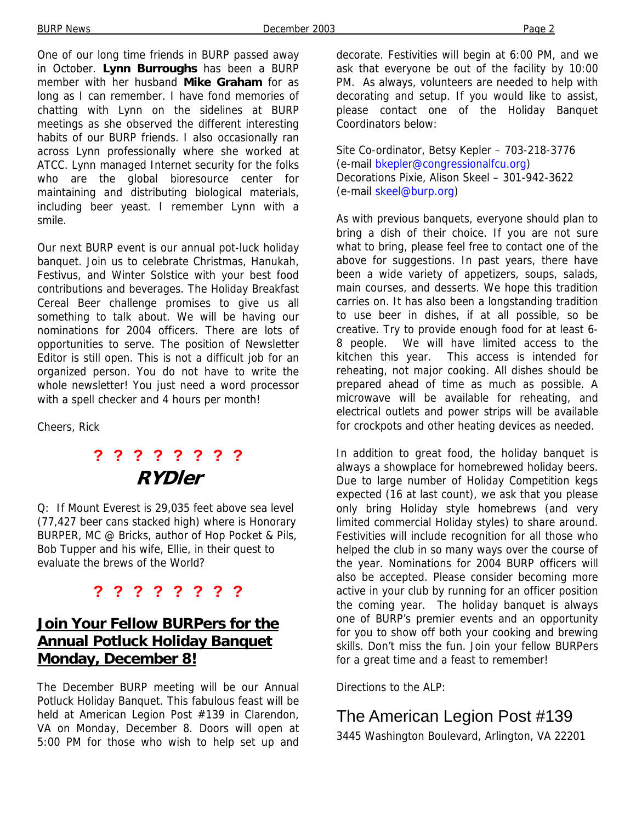One of our long time friends in BURP passed away in October. **Lynn Burroughs** has been a BURP member with her husband **Mike Graham** for as long as I can remember. I have fond memories of chatting with Lynn on the sidelines at BURP meetings as she observed the different interesting habits of our BURP friends. I also occasionally ran across Lynn professionally where she worked at ATCC. Lynn managed Internet security for the folks who are the global bioresource center for maintaining and distributing biological materials, including beer yeast. I remember Lynn with a smile.

Our next BURP event is our annual pot-luck holiday banquet. Join us to celebrate Christmas, Hanukah, Festivus, and Winter Solstice with your best food contributions and beverages. The Holiday Breakfast Cereal Beer challenge promises to give us all something to talk about. We will be having our nominations for 2004 officers. There are lots of opportunities to serve. The position of Newsletter Editor is still open. This is not a difficult job for an organized person. You do not have to write the whole newsletter! You just need a word processor with a spell checker and 4 hours per month!

Cheers, Rick

### **? ? ? ? ? ? ? ? RYDler**

Q: If Mount Everest is 29,035 feet above sea level (77,427 beer cans stacked high) where is Honorary BURPER, MC @ Bricks, author of Hop Pocket & Pils, Bob Tupper and his wife, Ellie, in their quest to evaluate the brews of the World?

### **? ? ? ? ? ? ? ?**

### **Join Your Fellow BURPers for the Annual Potluck Holiday Banquet Monday, December 8!**

The December BURP meeting will be our Annual Potluck Holiday Banquet. This fabulous feast will be held at American Legion Post #139 in Clarendon, VA on Monday, December 8. Doors will open at 5:00 PM for those who wish to help set up and

decorate. Festivities will begin at 6:00 PM, and we ask that everyone be out of the facility by 10:00 PM. As always, volunteers are needed to help with decorating and setup. If you would like to assist, please contact one of the Holiday Banquet Coordinators below:

Site Co-ordinator, Betsy Kepler – 703-218-3776 (e-mail bkepler@congressionalfcu.org) Decorations Pixie, Alison Skeel – 301-942-3622 (e-mail skeel@burp.org)

As with previous banquets, everyone should plan to bring a dish of their choice. If you are not sure what to bring, please feel free to contact one of the above for suggestions. In past years, there have been a wide variety of appetizers, soups, salads, main courses, and desserts. We hope this tradition carries on. It has also been a longstanding tradition to use beer in dishes, if at all possible, so be creative. Try to provide enough food for at least 6- 8 people. We will have limited access to the kitchen this year. This access is intended for reheating, not major cooking. All dishes should be prepared ahead of time as much as possible. A microwave will be available for reheating, and electrical outlets and power strips will be available for crockpots and other heating devices as needed.

In addition to great food, the holiday banquet is always a showplace for homebrewed holiday beers. Due to large number of Holiday Competition kegs expected (16 at last count), we ask that you please only bring Holiday style homebrews (and very limited commercial Holiday styles) to share around. Festivities will include recognition for all those who helped the club in so many ways over the course of the year. Nominations for 2004 BURP officers will also be accepted. Please consider becoming more active in your club by running for an officer position the coming year. The holiday banquet is always one of BURP's premier events and an opportunity for you to show off both your cooking and brewing skills. Don't miss the fun. Join your fellow BURPers for a great time and a feast to remember!

Directions to the ALP:

### The American Legion Post #139 3445 Washington Boulevard, Arlington, VA 22201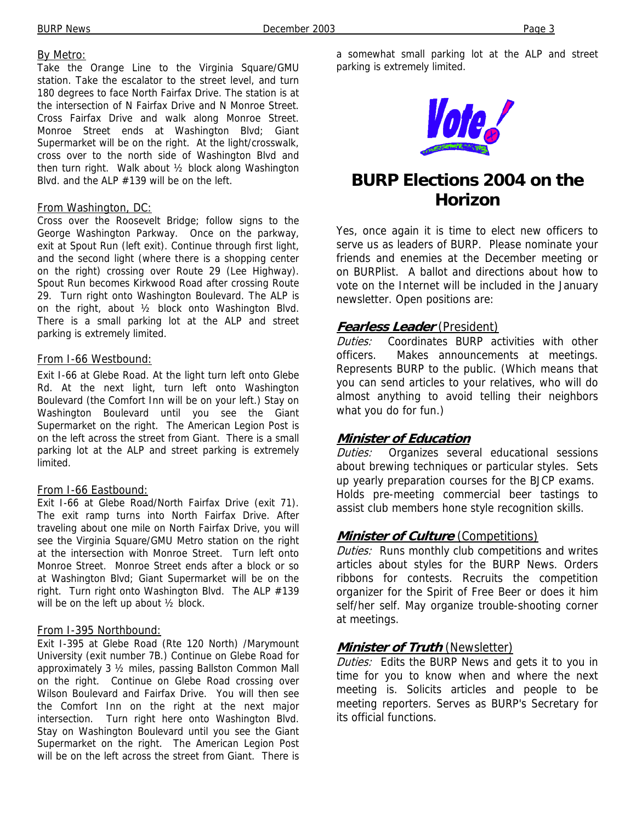#### By Metro:

Take the Orange Line to the Virginia Square/GMU station. Take the escalator to the street level, and turn 180 degrees to face North Fairfax Drive. The station is at the intersection of N Fairfax Drive and N Monroe Street. Cross Fairfax Drive and walk along Monroe Street. Monroe Street ends at Washington Blvd; Giant Supermarket will be on the right. At the light/crosswalk, cross over to the north side of Washington Blvd and then turn right. Walk about ½ block along Washington Blvd. and the ALP #139 will be on the left.

#### From Washington, DC:

Cross over the Roosevelt Bridge; follow signs to the George Washington Parkway. Once on the parkway, exit at Spout Run (left exit). Continue through first light, and the second light (where there is a shopping center on the right) crossing over Route 29 (Lee Highway). Spout Run becomes Kirkwood Road after crossing Route 29. Turn right onto Washington Boulevard. The ALP is on the right, about ½ block onto Washington Blvd. There is a small parking lot at the ALP and street parking is extremely limited.

#### From I-66 Westbound:

Exit I-66 at Glebe Road. At the light turn left onto Glebe Rd. At the next light, turn left onto Washington Boulevard (the Comfort Inn will be on your left.) Stay on Washington Boulevard until you see the Giant Supermarket on the right. The American Legion Post is on the left across the street from Giant. There is a small parking lot at the ALP and street parking is extremely limited.

#### From I-66 Eastbound:

Exit I-66 at Glebe Road/North Fairfax Drive (exit 71). The exit ramp turns into North Fairfax Drive. After traveling about one mile on North Fairfax Drive, you will see the Virginia Square/GMU Metro station on the right at the intersection with Monroe Street. Turn left onto Monroe Street. Monroe Street ends after a block or so at Washington Blvd; Giant Supermarket will be on the right. Turn right onto Washington Blvd. The ALP #139 will be on the left up about  $\frac{1}{2}$  block.

#### From I-395 Northbound:

Exit I-395 at Glebe Road (Rte 120 North) /Marymount University (exit number 7B.) Continue on Glebe Road for approximately 3 ½ miles, passing Ballston Common Mall on the right. Continue on Glebe Road crossing over Wilson Boulevard and Fairfax Drive. You will then see the Comfort Inn on the right at the next major intersection. Turn right here onto Washington Blvd. Stay on Washington Boulevard until you see the Giant Supermarket on the right. The American Legion Post will be on the left across the street from Giant. There is

a somewhat small parking lot at the ALP and street parking is extremely limited.



### **BURP Elections 2004 on the Horizon**

Yes, once again it is time to elect new officers to serve us as leaders of BURP. Please nominate your friends and enemies at the December meeting or on BURPlist. A ballot and directions about how to vote on the Internet will be included in the January newsletter. Open positions are:

#### **Fearless Leader** (President)

Duties: Coordinates BURP activities with other officers. Makes announcements at meetings. Represents BURP to the public. (Which means that you can send articles to your relatives, who will do almost anything to avoid telling their neighbors what you do for fun.)

#### **Minister of Education**

Duties: Organizes several educational sessions about brewing techniques or particular styles. Sets up yearly preparation courses for the BJCP exams. Holds pre-meeting commercial beer tastings to assist club members hone style recognition skills.

#### **Minister of Culture** (Competitions)

Duties: Runs monthly club competitions and writes articles about styles for the BURP News. Orders ribbons for contests. Recruits the competition organizer for the Spirit of Free Beer or does it him self/her self. May organize trouble-shooting corner at meetings.

#### **Minister of Truth** (Newsletter)

Duties: Edits the BURP News and gets it to you in time for you to know when and where the next meeting is. Solicits articles and people to be meeting reporters. Serves as BURP's Secretary for its official functions.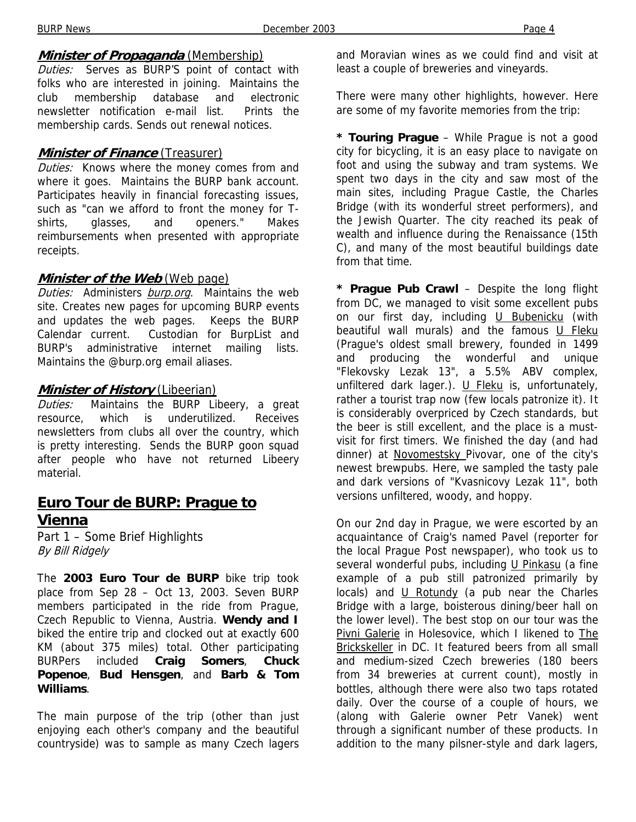#### **Minister of Propaganda** (Membership)

Duties: Serves as BURP'S point of contact with folks who are interested in joining. Maintains the club membership database and electronic newsletter notification e-mail list. Prints the membership cards. Sends out renewal notices.

#### **Minister of Finance** (Treasurer)

Duties: Knows where the money comes from and where it goes. Maintains the BURP bank account. Participates heavily in financial forecasting issues, such as "can we afford to front the money for Tshirts, glasses, and openers." Makes reimbursements when presented with appropriate receipts.

#### **Minister of the Web** (Web page)

Duties: Administers burp.org. Maintains the web site. Creates new pages for upcoming BURP events and updates the web pages. Keeps the BURP Calendar current. Custodian for BurpList and BURP's administrative internet mailing lists. Maintains the @burp.org email aliases.

#### **Minister of History** (Libeerian)

Duties: Maintains the BURP Libeery, a great resource, which is underutilized. Receives newsletters from clubs all over the country, which is pretty interesting. Sends the BURP goon squad after people who have not returned Libeery material.

### **Euro Tour de BURP: Prague to Vienna**

Part 1 – Some Brief Highlights By Bill Ridgely

The **2003 Euro Tour de BURP** bike trip took place from Sep 28 – Oct 13, 2003. Seven BURP members participated in the ride from Prague, Czech Republic to Vienna, Austria. **Wendy and I** biked the entire trip and clocked out at exactly 600 KM (about 375 miles) total. Other participating BURPers included **Craig Somers**, **Chuck Popenoe**, **Bud Hensgen**, and **Barb & Tom Williams**.

The main purpose of the trip (other than just enjoying each other's company and the beautiful countryside) was to sample as many Czech lagers

and Moravian wines as we could find and visit at least a couple of breweries and vineyards.

There were many other highlights, however. Here are some of my favorite memories from the trip:

**\* Touring Prague** – While Prague is not a good city for bicycling, it is an easy place to navigate on foot and using the subway and tram systems. We spent two days in the city and saw most of the main sites, including Prague Castle, the Charles Bridge (with its wonderful street performers), and the Jewish Quarter. The city reached its peak of wealth and influence during the Renaissance (15th C), and many of the most beautiful buildings date from that time.

**\* Prague Pub Crawl** – Despite the long flight from DC, we managed to visit some excellent pubs on our first day, including U Bubenicku (with beautiful wall murals) and the famous U Fleku (Prague's oldest small brewery, founded in 1499 and producing the wonderful and unique "Flekovsky Lezak 13", a 5.5% ABV complex, unfiltered dark lager.). U Fleku is, unfortunately, rather a tourist trap now (few locals patronize it). It is considerably overpriced by Czech standards, but the beer is still excellent, and the place is a mustvisit for first timers. We finished the day (and had dinner) at Novomestsky Pivovar, one of the city's newest brewpubs. Here, we sampled the tasty pale and dark versions of "Kvasnicovy Lezak 11", both versions unfiltered, woody, and hoppy.

On our 2nd day in Prague, we were escorted by an acquaintance of Craig's named Pavel (reporter for the local Prague Post newspaper), who took us to several wonderful pubs, including U Pinkasu (a fine example of a pub still patronized primarily by locals) and U Rotundy (a pub near the Charles Bridge with a large, boisterous dining/beer hall on the lower level). The best stop on our tour was the Pivni Galerie in Holesovice, which I likened to The Brickskeller in DC. It featured beers from all small and medium-sized Czech breweries (180 beers from 34 breweries at current count), mostly in bottles, although there were also two taps rotated daily. Over the course of a couple of hours, we (along with Galerie owner Petr Vanek) went through a significant number of these products. In addition to the many pilsner-style and dark lagers,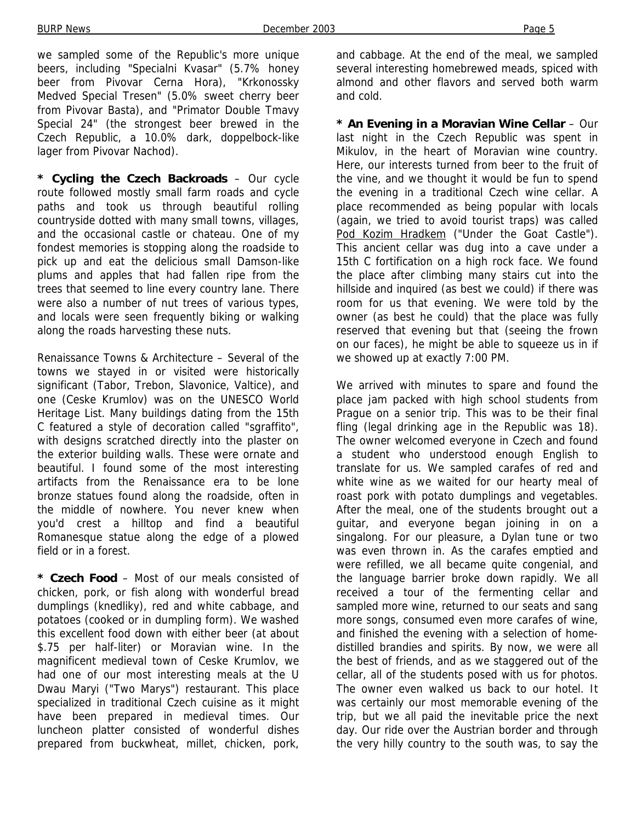we sampled some of the Republic's more unique beers, including "Specialni Kvasar" (5.7% honey beer from Pivovar Cerna Hora), "Krkonossky Medved Special Tresen" (5.0% sweet cherry beer from Pivovar Basta), and "Primator Double Tmavy Special 24" (the strongest beer brewed in the Czech Republic, a 10.0% dark, doppelbock-like lager from Pivovar Nachod).

**\* Cycling the Czech Backroads** – Our cycle route followed mostly small farm roads and cycle paths and took us through beautiful rolling countryside dotted with many small towns, villages, and the occasional castle or chateau. One of my fondest memories is stopping along the roadside to pick up and eat the delicious small Damson-like plums and apples that had fallen ripe from the trees that seemed to line every country lane. There were also a number of nut trees of various types, and locals were seen frequently biking or walking along the roads harvesting these nuts.

Renaissance Towns & Architecture – Several of the towns we stayed in or visited were historically significant (Tabor, Trebon, Slavonice, Valtice), and one (Ceske Krumlov) was on the UNESCO World Heritage List. Many buildings dating from the 15th C featured a style of decoration called "sgraffito", with designs scratched directly into the plaster on the exterior building walls. These were ornate and beautiful. I found some of the most interesting artifacts from the Renaissance era to be lone bronze statues found along the roadside, often in the middle of nowhere. You never knew when you'd crest a hilltop and find a beautiful Romanesque statue along the edge of a plowed field or in a forest.

**\* Czech Food** – Most of our meals consisted of chicken, pork, or fish along with wonderful bread dumplings (knedliky), red and white cabbage, and potatoes (cooked or in dumpling form). We washed this excellent food down with either beer (at about \$.75 per half-liter) or Moravian wine. In the magnificent medieval town of Ceske Krumlov, we had one of our most interesting meals at the U Dwau Maryi ("Two Marys") restaurant. This place specialized in traditional Czech cuisine as it might have been prepared in medieval times. Our luncheon platter consisted of wonderful dishes prepared from buckwheat, millet, chicken, pork,

and cabbage. At the end of the meal, we sampled several interesting homebrewed meads, spiced with almond and other flavors and served both warm and cold.

**\* An Evening in a Moravian Wine Cellar** – Our last night in the Czech Republic was spent in Mikulov, in the heart of Moravian wine country. Here, our interests turned from beer to the fruit of the vine, and we thought it would be fun to spend the evening in a traditional Czech wine cellar. A place recommended as being popular with locals (again, we tried to avoid tourist traps) was called Pod Kozim Hradkem ("Under the Goat Castle"). This ancient cellar was dug into a cave under a 15th C fortification on a high rock face. We found the place after climbing many stairs cut into the hillside and inquired (as best we could) if there was room for us that evening. We were told by the owner (as best he could) that the place was fully reserved that evening but that (seeing the frown on our faces), he might be able to squeeze us in if we showed up at exactly 7:00 PM.

We arrived with minutes to spare and found the place jam packed with high school students from Prague on a senior trip. This was to be their final fling (legal drinking age in the Republic was 18). The owner welcomed everyone in Czech and found a student who understood enough English to translate for us. We sampled carafes of red and white wine as we waited for our hearty meal of roast pork with potato dumplings and vegetables. After the meal, one of the students brought out a guitar, and everyone began joining in on a singalong. For our pleasure, a Dylan tune or two was even thrown in. As the carafes emptied and were refilled, we all became quite congenial, and the language barrier broke down rapidly. We all received a tour of the fermenting cellar and sampled more wine, returned to our seats and sang more songs, consumed even more carafes of wine, and finished the evening with a selection of homedistilled brandies and spirits. By now, we were all the best of friends, and as we staggered out of the cellar, all of the students posed with us for photos. The owner even walked us back to our hotel. It was certainly our most memorable evening of the trip, but we all paid the inevitable price the next day. Our ride over the Austrian border and through the very hilly country to the south was, to say the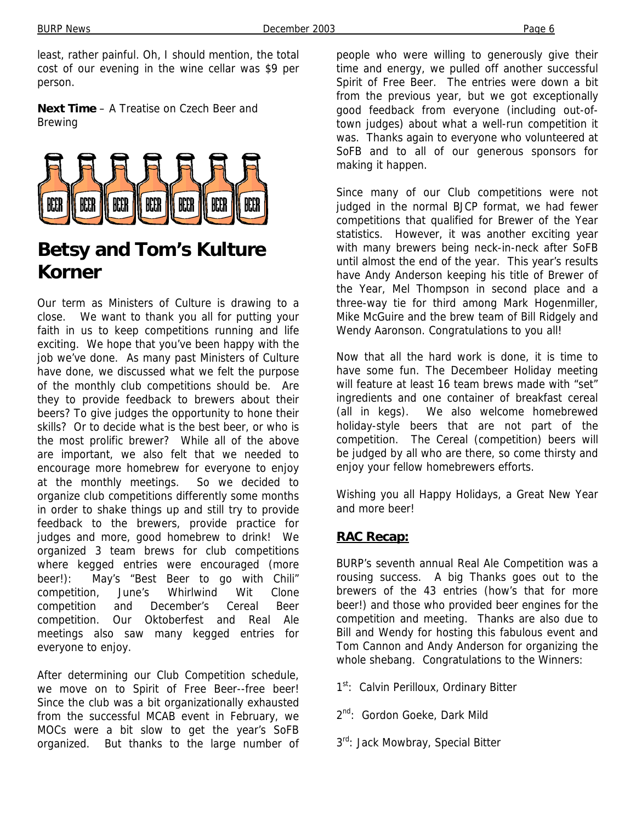least, rather painful. Oh, I should mention, the total cost of our evening in the wine cellar was \$9 per person.

**Next Time** – A Treatise on Czech Beer and Brewing



## **Betsy and Tom's Kulture Korner**

Our term as Ministers of Culture is drawing to a close. We want to thank you all for putting your faith in us to keep competitions running and life exciting. We hope that you've been happy with the job we've done. As many past Ministers of Culture have done, we discussed what we felt the purpose of the monthly club competitions should be. Are they to provide feedback to brewers about their beers? To give judges the opportunity to hone their skills? Or to decide what is the best beer, or who is the most prolific brewer? While all of the above are important, we also felt that we needed to encourage more homebrew for everyone to enjoy at the monthly meetings. So we decided to organize club competitions differently some months in order to shake things up and still try to provide feedback to the brewers, provide practice for judges and more, good homebrew to drink! We organized 3 team brews for club competitions where kegged entries were encouraged (more beer!): May's "Best Beer to go with Chili" competition, June's Whirlwind Wit Clone competition and December's Cereal Beer competition. Our Oktoberfest and Real Ale meetings also saw many kegged entries for everyone to enjoy.

After determining our Club Competition schedule, we move on to Spirit of Free Beer--free beer! Since the club was a bit organizationally exhausted from the successful MCAB event in February, we MOCs were a bit slow to get the year's SoFB organized. But thanks to the large number of

people who were willing to generously give their time and energy, we pulled off another successful Spirit of Free Beer. The entries were down a bit from the previous year, but we got exceptionally good feedback from everyone (including out-oftown judges) about what a well-run competition it was. Thanks again to everyone who volunteered at SoFB and to all of our generous sponsors for making it happen.

Since many of our Club competitions were not judged in the normal BJCP format, we had fewer competitions that qualified for Brewer of the Year statistics. However, it was another exciting year with many brewers being neck-in-neck after SoFB until almost the end of the year. This year's results have Andy Anderson keeping his title of Brewer of the Year, Mel Thompson in second place and a three-way tie for third among Mark Hogenmiller, Mike McGuire and the brew team of Bill Ridgely and Wendy Aaronson. Congratulations to you all!

Now that all the hard work is done, it is time to have some fun. The Decembeer Holiday meeting will feature at least 16 team brews made with "set" ingredients and one container of breakfast cereal (all in kegs). We also welcome homebrewed holiday-style beers that are not part of the competition. The Cereal (competition) beers will be judged by all who are there, so come thirsty and enjoy your fellow homebrewers efforts.

Wishing you all Happy Holidays, a Great New Year and more beer!

#### **RAC Recap:**

BURP's seventh annual Real Ale Competition was a rousing success. A big Thanks goes out to the brewers of the 43 entries (how's that for more beer!) and those who provided beer engines for the competition and meeting. Thanks are also due to Bill and Wendy for hosting this fabulous event and Tom Cannon and Andy Anderson for organizing the whole shebang. Congratulations to the Winners:

- 1st: Calvin Perilloux, Ordinary Bitter
- 2<sup>nd</sup>: Gordon Goeke, Dark Mild
- 3rd: Jack Mowbray, Special Bitter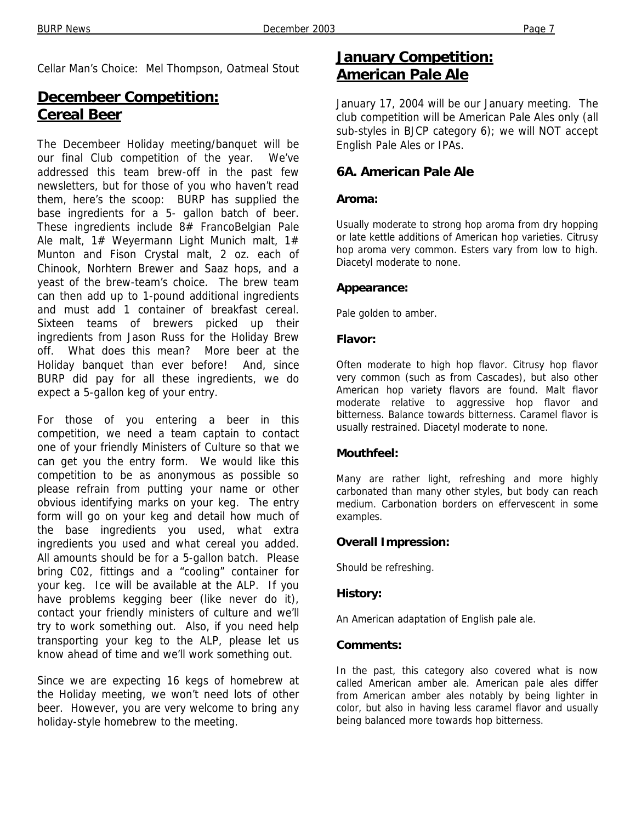Cellar Man's Choice: Mel Thompson, Oatmeal Stout

### **Decembeer Competition: Cereal Beer**

The Decembeer Holiday meeting/banquet will be our final Club competition of the year. We've addressed this team brew-off in the past few newsletters, but for those of you who haven't read them, here's the scoop: BURP has supplied the base ingredients for a 5- gallon batch of beer. These ingredients include 8# FrancoBelgian Pale Ale malt,  $1#$  Weyermann Light Munich malt,  $1#$ Munton and Fison Crystal malt, 2 oz. each of Chinook, Norhtern Brewer and Saaz hops, and a yeast of the brew-team's choice. The brew team can then add up to 1-pound additional ingredients and must add 1 container of breakfast cereal. Sixteen teams of brewers picked up their ingredients from Jason Russ for the Holiday Brew off. What does this mean? More beer at the Holiday banquet than ever before! And, since BURP did pay for all these ingredients, we do expect a 5-gallon keg of your entry.

For those of you entering a beer in this competition, we need a team captain to contact one of your friendly Ministers of Culture so that we can get you the entry form. We would like this competition to be as anonymous as possible so please refrain from putting your name or other obvious identifying marks on your keg. The entry form will go on your keg and detail how much of the base ingredients you used, what extra ingredients you used and what cereal you added. All amounts should be for a 5-gallon batch. Please bring C02, fittings and a "cooling" container for your keg. Ice will be available at the ALP. If you have problems kegging beer (like never do it), contact your friendly ministers of culture and we'll try to work something out. Also, if you need help transporting your keg to the ALP, please let us know ahead of time and we'll work something out.

Since we are expecting 16 kegs of homebrew at the Holiday meeting, we won't need lots of other beer. However, you are very welcome to bring any holiday-style homebrew to the meeting.

### **January Competition: American Pale Ale**

January 17, 2004 will be our January meeting. The club competition will be American Pale Ales only (all sub-styles in BJCP category 6); we will NOT accept English Pale Ales or IPAs.

#### **6A. American Pale Ale**

#### **Aroma:**

Usually moderate to strong hop aroma from dry hopping or late kettle additions of American hop varieties. Citrusy hop aroma very common. Esters vary from low to high. Diacetyl moderate to none.

#### **Appearance:**

Pale golden to amber.

#### **Flavor:**

Often moderate to high hop flavor. Citrusy hop flavor very common (such as from Cascades), but also other American hop variety flavors are found. Malt flavor moderate relative to aggressive hop flavor and bitterness. Balance towards bitterness. Caramel flavor is usually restrained. Diacetyl moderate to none.

#### **Mouthfeel:**

Many are rather light, refreshing and more highly carbonated than many other styles, but body can reach medium. Carbonation borders on effervescent in some examples.

#### **Overall Impression:**

Should be refreshing.

#### **History:**

An American adaptation of English pale ale.

#### **Comments:**

In the past, this category also covered what is now called American amber ale. American pale ales differ from American amber ales notably by being lighter in color, but also in having less caramel flavor and usually being balanced more towards hop bitterness.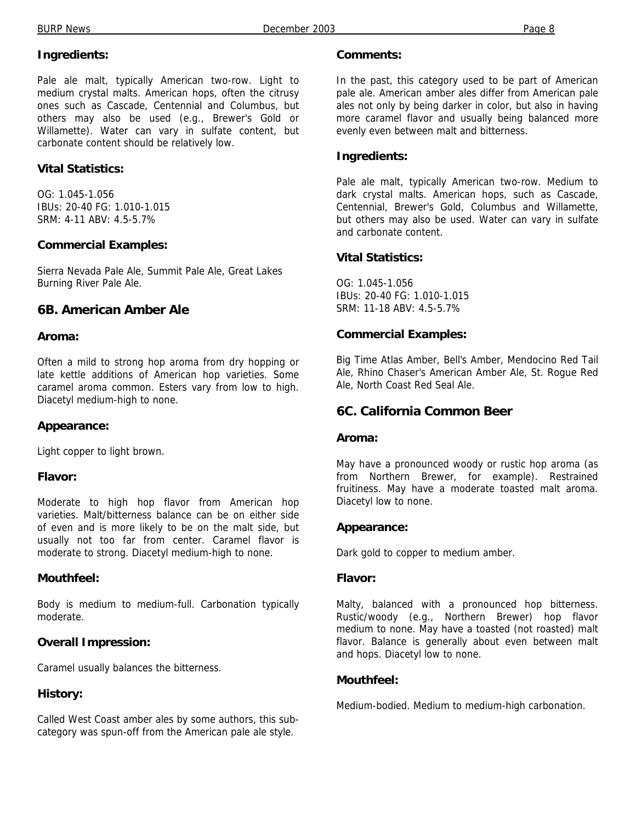#### **Ingredients:**

Pale ale malt, typically American two-row. Light to medium crystal malts. American hops, often the citrusy ones such as Cascade, Centennial and Columbus, but others may also be used (e.g., Brewer's Gold or Willamette). Water can vary in sulfate content, but carbonate content should be relatively low.

#### **Vital Statistics:**

OG: 1.045-1.056 IBUs: 20-40 FG: 1.010-1.015 SRM: 4-11 ABV: 4.5-5.7%

#### **Commercial Examples:**

Sierra Nevada Pale Ale, Summit Pale Ale, Great Lakes Burning River Pale Ale.

#### **6B. American Amber Ale**

#### **Aroma:**

Often a mild to strong hop aroma from dry hopping or late kettle additions of American hop varieties. Some caramel aroma common. Esters vary from low to high. Diacetyl medium-high to none.

#### **Appearance:**

Light copper to light brown.

#### **Flavor:**

Moderate to high hop flavor from American hop varieties. Malt/bitterness balance can be on either side of even and is more likely to be on the malt side, but usually not too far from center. Caramel flavor is moderate to strong. Diacetyl medium-high to none.

#### **Mouthfeel:**

Body is medium to medium-full. Carbonation typically moderate.

#### **Overall Impression:**

Caramel usually balances the bitterness.

#### **History:**

Called West Coast amber ales by some authors, this subcategory was spun-off from the American pale ale style.

#### **Comments:**

In the past, this category used to be part of American pale ale. American amber ales differ from American pale ales not only by being darker in color, but also in having more caramel flavor and usually being balanced more evenly even between malt and bitterness.

#### **Ingredients:**

Pale ale malt, typically American two-row. Medium to dark crystal malts. American hops, such as Cascade, Centennial, Brewer's Gold, Columbus and Willamette, but others may also be used. Water can vary in sulfate and carbonate content.

#### **Vital Statistics:**

OG: 1.045-1.056 IBUs: 20-40 FG: 1.010-1.015 SRM: 11-18 ABV: 4.5-5.7%

#### **Commercial Examples:**

Big Time Atlas Amber, Bell's Amber, Mendocino Red Tail Ale, Rhino Chaser's American Amber Ale, St. Rogue Red Ale, North Coast Red Seal Ale.

#### **6C. California Common Beer**

#### **Aroma:**

May have a pronounced woody or rustic hop aroma (as from Northern Brewer, for example). Restrained fruitiness. May have a moderate toasted malt aroma. Diacetyl low to none.

#### **Appearance:**

Dark gold to copper to medium amber.

#### **Flavor:**

Malty, balanced with a pronounced hop bitterness. Rustic/woody (e.g., Northern Brewer) hop flavor medium to none. May have a toasted (not roasted) malt flavor. Balance is generally about even between malt and hops. Diacetyl low to none.

#### **Mouthfeel:**

Medium-bodied. Medium to medium-high carbonation.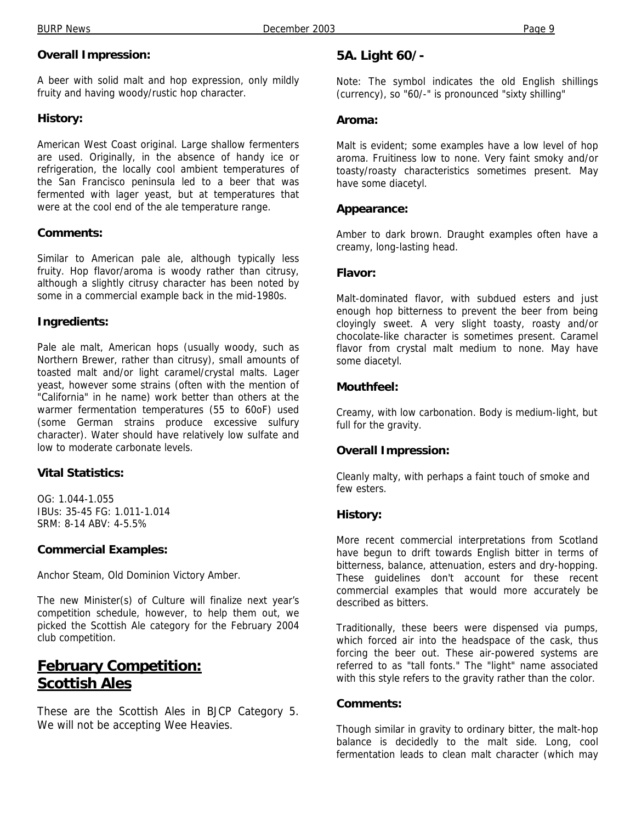#### **Overall Impression:**

A beer with solid malt and hop expression, only mildly fruity and having woody/rustic hop character.

#### **History:**

American West Coast original. Large shallow fermenters are used. Originally, in the absence of handy ice or refrigeration, the locally cool ambient temperatures of the San Francisco peninsula led to a beer that was fermented with lager yeast, but at temperatures that were at the cool end of the ale temperature range.

#### **Comments:**

Similar to American pale ale, although typically less fruity. Hop flavor/aroma is woody rather than citrusy, although a slightly citrusy character has been noted by some in a commercial example back in the mid-1980s.

#### **Ingredients:**

Pale ale malt, American hops (usually woody, such as Northern Brewer, rather than citrusy), small amounts of toasted malt and/or light caramel/crystal malts. Lager yeast, however some strains (often with the mention of "California" in he name) work better than others at the warmer fermentation temperatures (55 to 60oF) used (some German strains produce excessive sulfury character). Water should have relatively low sulfate and low to moderate carbonate levels.

#### **Vital Statistics:**

OG: 1.044-1.055 IBUs: 35-45 FG: 1.011-1.014 SRM: 8-14 ABV: 4-5.5%

#### **Commercial Examples:**

Anchor Steam, Old Dominion Victory Amber.

The new Minister(s) of Culture will finalize next year's competition schedule, however, to help them out, we picked the Scottish Ale category for the February 2004 club competition.

### **February Competition: Scottish Ales**

These are the Scottish Ales in BJCP Category 5. We will not be accepting Wee Heavies.

### **5A. Light 60/-**

Note: The symbol indicates the old English shillings (currency), so "60/-" is pronounced "sixty shilling"

#### **Aroma:**

Malt is evident; some examples have a low level of hop aroma. Fruitiness low to none. Very faint smoky and/or toasty/roasty characteristics sometimes present. May have some diacetyl.

#### **Appearance:**

Amber to dark brown. Draught examples often have a creamy, long-lasting head.

#### **Flavor:**

Malt-dominated flavor, with subdued esters and just enough hop bitterness to prevent the beer from being cloyingly sweet. A very slight toasty, roasty and/or chocolate-like character is sometimes present. Caramel flavor from crystal malt medium to none. May have some diacetyl.

#### **Mouthfeel:**

Creamy, with low carbonation. Body is medium-light, but full for the gravity.

#### **Overall Impression:**

Cleanly malty, with perhaps a faint touch of smoke and few esters.

#### **History:**

More recent commercial interpretations from Scotland have begun to drift towards English bitter in terms of bitterness, balance, attenuation, esters and dry-hopping. These guidelines don't account for these recent commercial examples that would more accurately be described as bitters.

Traditionally, these beers were dispensed via pumps, which forced air into the headspace of the cask, thus forcing the beer out. These air-powered systems are referred to as "tall fonts." The "light" name associated with this style refers to the gravity rather than the color.

#### **Comments:**

Though similar in gravity to ordinary bitter, the malt-hop balance is decidedly to the malt side. Long, cool fermentation leads to clean malt character (which may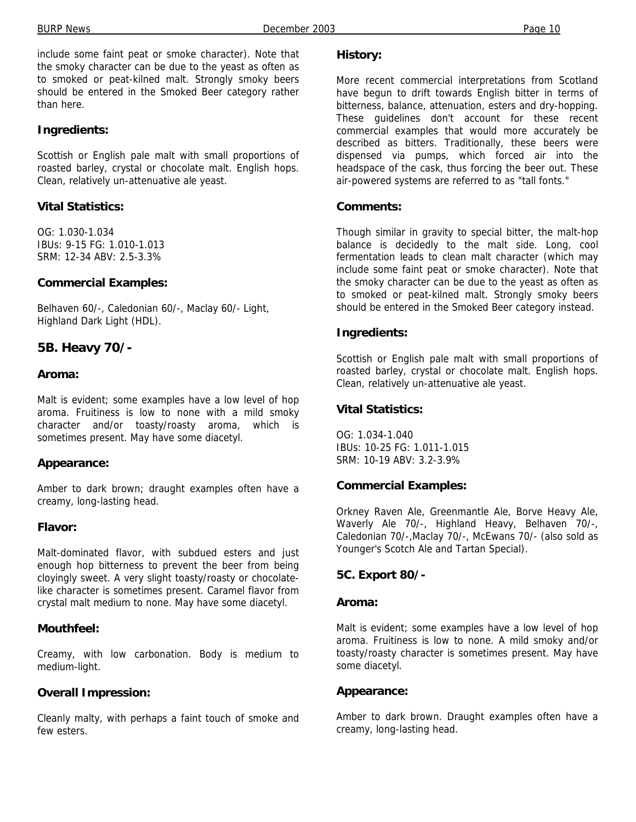BURP News **December 2003** Page 10

include some faint peat or smoke character). Note that the smoky character can be due to the yeast as often as to smoked or peat-kilned malt. Strongly smoky beers should be entered in the Smoked Beer category rather than here.

#### **Ingredients:**

Scottish or English pale malt with small proportions of roasted barley, crystal or chocolate malt. English hops. Clean, relatively un-attenuative ale yeast.

#### **Vital Statistics:**

OG: 1.030-1.034 IBUs: 9-15 FG: 1.010-1.013 SRM: 12-34 ABV: 2.5-3.3%

#### **Commercial Examples:**

Belhaven 60/-, Caledonian 60/-, Maclay 60/- Light, Highland Dark Light (HDL).

#### **5B. Heavy 70/-**

#### **Aroma:**

Malt is evident; some examples have a low level of hop aroma. Fruitiness is low to none with a mild smoky character and/or toasty/roasty aroma, which is sometimes present. May have some diacetyl.

#### **Appearance:**

Amber to dark brown; draught examples often have a creamy, long-lasting head.

#### **Flavor:**

Malt-dominated flavor, with subdued esters and just enough hop bitterness to prevent the beer from being cloyingly sweet. A very slight toasty/roasty or chocolatelike character is sometimes present. Caramel flavor from crystal malt medium to none. May have some diacetyl.

#### **Mouthfeel:**

Creamy, with low carbonation. Body is medium to medium-light.

#### **Overall Impression:**

Cleanly malty, with perhaps a faint touch of smoke and few esters.

#### **History:**

More recent commercial interpretations from Scotland have begun to drift towards English bitter in terms of bitterness, balance, attenuation, esters and dry-hopping. These guidelines don't account for these recent commercial examples that would more accurately be described as bitters. Traditionally, these beers were dispensed via pumps, which forced air into the headspace of the cask, thus forcing the beer out. These air-powered systems are referred to as "tall fonts."

#### **Comments:**

Though similar in gravity to special bitter, the malt-hop balance is decidedly to the malt side. Long, cool fermentation leads to clean malt character (which may include some faint peat or smoke character). Note that the smoky character can be due to the yeast as often as to smoked or peat-kilned malt. Strongly smoky beers should be entered in the Smoked Beer category instead.

#### **Ingredients:**

Scottish or English pale malt with small proportions of roasted barley, crystal or chocolate malt. English hops. Clean, relatively un-attenuative ale yeast.

#### **Vital Statistics:**

OG: 1.034-1.040 IBUs: 10-25 FG: 1.011-1.015 SRM: 10-19 ABV: 3.2-3.9%

#### **Commercial Examples:**

Orkney Raven Ale, Greenmantle Ale, Borve Heavy Ale, Waverly Ale 70/-, Highland Heavy, Belhaven 70/-, Caledonian 70/-,Maclay 70/-, McEwans 70/- (also sold as Younger's Scotch Ale and Tartan Special).

#### **5C. Export 80/-**

#### **Aroma:**

Malt is evident; some examples have a low level of hop aroma. Fruitiness is low to none. A mild smoky and/or toasty/roasty character is sometimes present. May have some diacetyl.

#### **Appearance:**

Amber to dark brown. Draught examples often have a creamy, long-lasting head.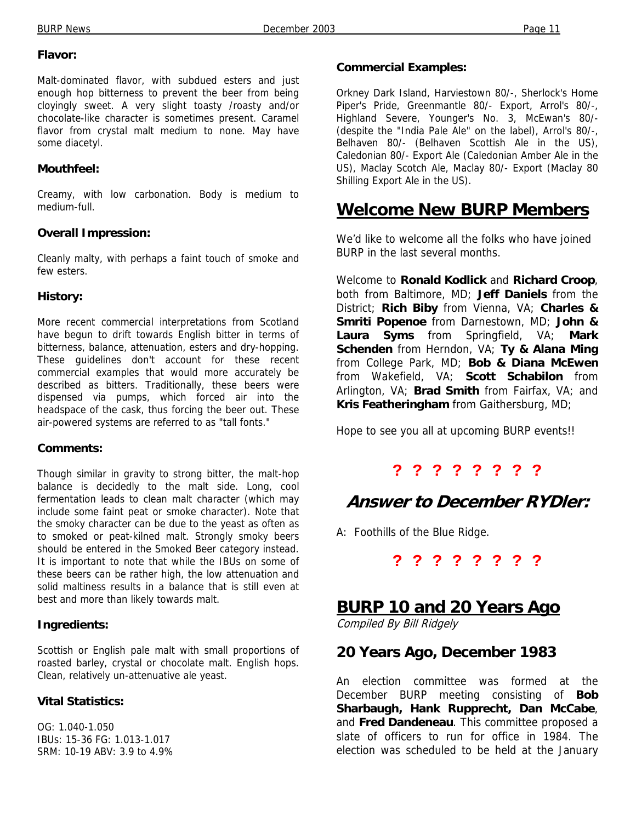#### **Flavor:**

Malt-dominated flavor, with subdued esters and just enough hop bitterness to prevent the beer from being cloyingly sweet. A very slight toasty /roasty and/or chocolate-like character is sometimes present. Caramel flavor from crystal malt medium to none. May have some diacetyl.

#### **Mouthfeel:**

Creamy, with low carbonation. Body is medium to medium-full.

#### **Overall Impression:**

Cleanly malty, with perhaps a faint touch of smoke and few esters.

#### **History:**

More recent commercial interpretations from Scotland have begun to drift towards English bitter in terms of bitterness, balance, attenuation, esters and dry-hopping. These guidelines don't account for these recent commercial examples that would more accurately be described as bitters. Traditionally, these beers were dispensed via pumps, which forced air into the headspace of the cask, thus forcing the beer out. These air-powered systems are referred to as "tall fonts."

#### **Comments:**

Though similar in gravity to strong bitter, the malt-hop balance is decidedly to the malt side. Long, cool fermentation leads to clean malt character (which may include some faint peat or smoke character). Note that the smoky character can be due to the yeast as often as to smoked or peat-kilned malt. Strongly smoky beers should be entered in the Smoked Beer category instead. It is important to note that while the IBUs on some of these beers can be rather high, the low attenuation and solid maltiness results in a balance that is still even at best and more than likely towards malt.

#### **Ingredients:**

Scottish or English pale malt with small proportions of roasted barley, crystal or chocolate malt. English hops. Clean, relatively un-attenuative ale yeast.

#### **Vital Statistics:**

OG: 1.040-1.050 IBUs: 15-36 FG: 1.013-1.017 SRM: 10-19 ABV: 3.9 to 4.9%

#### **Commercial Examples:**

Orkney Dark Island, Harviestown 80/-, Sherlock's Home Piper's Pride, Greenmantle 80/- Export, Arrol's 80/-, Highland Severe, Younger's No. 3, McEwan's 80/- (despite the "India Pale Ale" on the label), Arrol's 80/-, Belhaven 80/- (Belhaven Scottish Ale in the US), Caledonian 80/- Export Ale (Caledonian Amber Ale in the US), Maclay Scotch Ale, Maclay 80/- Export (Maclay 80 Shilling Export Ale in the US).

### **Welcome New BURP Members**

We'd like to welcome all the folks who have joined BURP in the last several months.

Welcome to **Ronald Kodlick** and **Richard Croop**, both from Baltimore, MD; **Jeff Daniels** from the District; **Rich Biby** from Vienna, VA; **Charles & Smriti Popenoe** from Darnestown, MD; **John & Laura Syms** from Springfield, VA; **Mark Schenden** from Herndon, VA; **Ty & Alana Ming** from College Park, MD; **Bob & Diana McEwen** from Wakefield, VA; **Scott Schabilon** from Arlington, VA; **Brad Smith** from Fairfax, VA; and **Kris Featheringham** from Gaithersburg, MD;

Hope to see you all at upcoming BURP events!!

### **? ? ? ? ? ? ? ?**

### **Answer to December RYDler:**

A: Foothills of the Blue Ridge.

**? ? ? ? ? ? ? ?**

### **BURP 10 and 20 Years Ago**

Compiled By Bill Ridgely

### **20 Years Ago, December 1983**

An election committee was formed at the December BURP meeting consisting of **Bob Sharbaugh, Hank Rupprecht, Dan McCabe**, and **Fred Dandeneau**. This committee proposed a slate of officers to run for office in 1984. The election was scheduled to be held at the January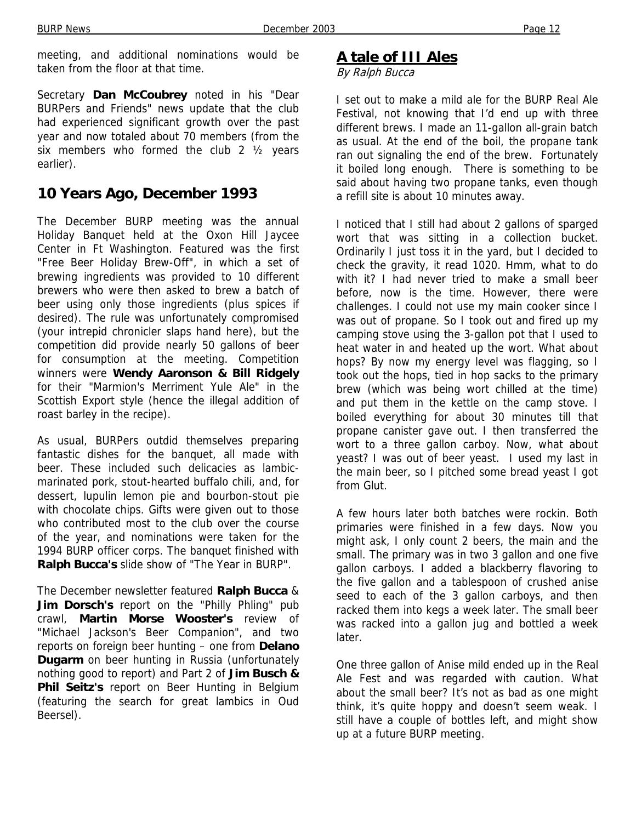meeting, and additional nominations would be taken from the floor at that time.

Secretary **Dan McCoubrey** noted in his "Dear BURPers and Friends" news update that the club had experienced significant growth over the past year and now totaled about 70 members (from the six members who formed the club 2 ½ years earlier).

### **10 Years Ago, December 1993**

The December BURP meeting was the annual Holiday Banquet held at the Oxon Hill Jaycee Center in Ft Washington. Featured was the first "Free Beer Holiday Brew-Off", in which a set of brewing ingredients was provided to 10 different brewers who were then asked to brew a batch of beer using only those ingredients (plus spices if desired). The rule was unfortunately compromised (your intrepid chronicler slaps hand here), but the competition did provide nearly 50 gallons of beer for consumption at the meeting. Competition winners were **Wendy Aaronson & Bill Ridgely** for their "Marmion's Merriment Yule Ale" in the Scottish Export style (hence the illegal addition of roast barley in the recipe).

As usual, BURPers outdid themselves preparing fantastic dishes for the banquet, all made with beer. These included such delicacies as lambicmarinated pork, stout-hearted buffalo chili, and, for dessert, lupulin lemon pie and bourbon-stout pie with chocolate chips. Gifts were given out to those who contributed most to the club over the course of the year, and nominations were taken for the 1994 BURP officer corps. The banquet finished with **Ralph Bucca's** slide show of "The Year in BURP".

The December newsletter featured **Ralph Bucca** & **Jim Dorsch's** report on the "Philly Phling" pub crawl, **Martin Morse Wooster's** review of "Michael Jackson's Beer Companion", and two reports on foreign beer hunting – one from **Delano Dugarm** on beer hunting in Russia (unfortunately nothing good to report) and Part 2 of **Jim Busch & Phil Seitz's** report on Beer Hunting in Belgium (featuring the search for great lambics in Oud Beersel).

### **A tale of III Ales**

#### By Ralph Bucca

I set out to make a mild ale for the BURP Real Ale Festival, not knowing that I'd end up with three different brews. I made an 11-gallon all-grain batch as usual. At the end of the boil, the propane tank ran out signaling the end of the brew. Fortunately it boiled long enough. There is something to be said about having two propane tanks, even though a refill site is about 10 minutes away.

I noticed that I still had about 2 gallons of sparged wort that was sitting in a collection bucket. Ordinarily I just toss it in the yard, but I decided to check the gravity, it read 1020. Hmm, what to do with it? I had never tried to make a small beer before, now is the time. However, there were challenges. I could not use my main cooker since I was out of propane. So I took out and fired up my camping stove using the 3-gallon pot that I used to heat water in and heated up the wort. What about hops? By now my energy level was flagging, so I took out the hops, tied in hop sacks to the primary brew (which was being wort chilled at the time) and put them in the kettle on the camp stove. I boiled everything for about 30 minutes till that propane canister gave out. I then transferred the wort to a three gallon carboy. Now, what about yeast? I was out of beer yeast. I used my last in the main beer, so I pitched some bread yeast I got from Glut.

A few hours later both batches were rockin. Both primaries were finished in a few days. Now you might ask, I only count 2 beers, the main and the small. The primary was in two 3 gallon and one five gallon carboys. I added a blackberry flavoring to the five gallon and a tablespoon of crushed anise seed to each of the 3 gallon carboys, and then racked them into kegs a week later. The small beer was racked into a gallon jug and bottled a week later.

One three gallon of Anise mild ended up in the Real Ale Fest and was regarded with caution. What about the small beer? It's not as bad as one might think, it's quite hoppy and doesn't seem weak. I still have a couple of bottles left, and might show up at a future BURP meeting.